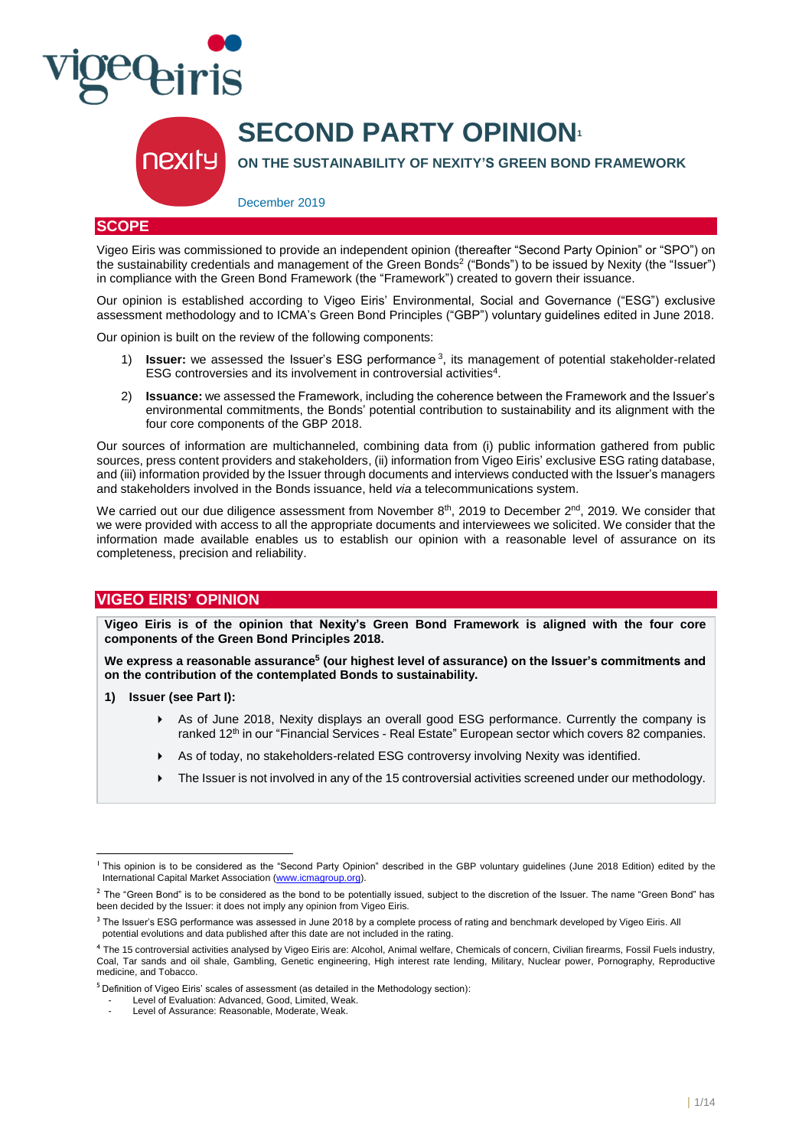

# **SECOND PARTY OPINION**

**ON THE SUSTAINABILITY OF NEXITY'S GREEN BOND FRAMEWORK**

December 2019

# **SCOPE**

Vigeo Eiris was commissioned to provide an independent opinion (thereafter "Second Party Opinion" or "SPO") on the sustainability credentials and management of the Green Bonds<sup>2</sup> ("Bonds") to be issued by Nexity (the "Issuer") in compliance with the Green Bond Framework (the "Framework") created to govern their issuance.

Our opinion is established according to Vigeo Eiris' Environmental, Social and Governance ("ESG") exclusive assessment methodology and to ICMA's Green Bond Principles ("GBP") voluntary guidelines edited in June 2018.

Our opinion is built on the review of the following components:

- 1) **Issuer:** we assessed the Issuer's ESG performance <sup>3</sup> , its management of potential stakeholder-related ESG controversies and its involvement in controversial activities<sup>4</sup>.
- 2) **Issuance:** we assessed the Framework, including the coherence between the Framework and the Issuer's environmental commitments, the Bonds' potential contribution to sustainability and its alignment with the four core components of the GBP 2018.

Our sources of information are multichanneled, combining data from (i) public information gathered from public sources, press content providers and stakeholders, (ii) information from Vigeo Eiris' exclusive ESG rating database, and (iii) information provided by the Issuer through documents and interviews conducted with the Issuer's managers and stakeholders involved in the Bonds issuance, held *via* a telecommunications system.

We carried out our due diligence assessment from November 8<sup>th</sup>, 2019 to December 2<sup>nd</sup>, 2019. We consider that we were provided with access to all the appropriate documents and interviewees we solicited. We consider that the information made available enables us to establish our opinion with a reasonable level of assurance on its completeness, precision and reliability.

# **VIGEO EIRIS' OPINION**

**Vigeo Eiris is of the opinion that Nexity's Green Bond Framework is aligned with the four core components of the Green Bond Principles 2018.** 

**We express a reasonable assurance<sup>5</sup> (our highest level of assurance) on the Issuer's commitments and on the contribution of the contemplated Bonds to sustainability.**

**1) Issuer (see Part I):** 

l

- As of June 2018, Nexity displays an overall good ESG performance. Currently the company is ranked 12<sup>th</sup> in our "Financial Services - Real Estate" European sector which covers 82 companies.
- As of today, no stakeholders-related ESG controversy involving Nexity was identified.
- The Issuer is not involved in any of the 15 controversial activities screened under our methodology.

<sup>&</sup>lt;sup>1</sup> This opinion is to be considered as the "Second Party Opinion" described in the GBP voluntary guidelines (June 2018 Edition) edited by the International Capital Market Association (www.icmagroup.org)

 $2$  The "Green Bond" is to be considered as the bond to be potentially issued, subject to the discretion of the Issuer. The name "Green Bond" has been decided by the Issuer: it does not imply any opinion from Vigeo Eiris.

<sup>&</sup>lt;sup>3</sup> The Issuer's ESG performance was assessed in June 2018 by a complete process of rating and benchmark developed by Vigeo Eiris. All potential evolutions and data published after this date are not included in the rating.

<sup>4</sup> The 15 controversial activities analysed by Vigeo Eiris are: Alcohol, Animal welfare, Chemicals of concern, Civilian firearms, Fossil Fuels industry, Coal, Tar sands and oil shale, Gambling, Genetic engineering, High interest rate lending, Military, Nuclear power, Pornography, Reproductive medicine, and Tobacco.

<sup>&</sup>lt;sup>5</sup> Definition of Vigeo Eiris' scales of assessment (as detailed in the Methodology section):

<sup>-</sup> Level of Evaluation: Advanced, Good, Limited, Weak.

Level of Assurance: Reasonable, Moderate, Weak.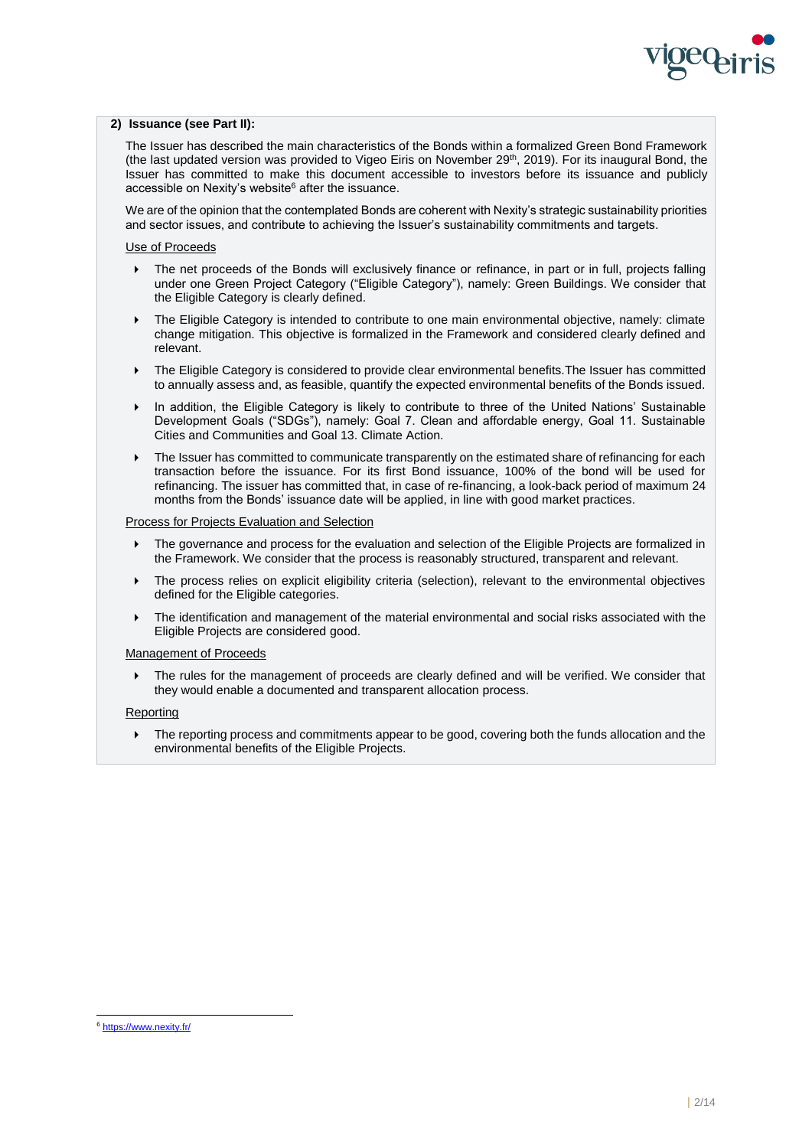

## **2) Issuance (see Part II):**

The Issuer has described the main characteristics of the Bonds within a formalized Green Bond Framework (the last updated version was provided to Vigeo Eiris on November 29<sup>th</sup>, 2019). For its inaugural Bond, the Issuer has committed to make this document accessible to investors before its issuance and publicly accessible on Nexity's website<sup>6</sup> after the issuance.

We are of the opinion that the contemplated Bonds are coherent with Nexity's strategic sustainability priorities and sector issues, and contribute to achieving the Issuer's sustainability commitments and targets.

## Use of Proceeds

- The net proceeds of the Bonds will exclusively finance or refinance, in part or in full, projects falling under one Green Project Category ("Eligible Category"), namely: Green Buildings. We consider that the Eligible Category is clearly defined.
- The Eligible Category is intended to contribute to one main environmental objective, namely: climate change mitigation. This objective is formalized in the Framework and considered clearly defined and relevant.
- The Eligible Category is considered to provide clear environmental benefits.The Issuer has committed to annually assess and, as feasible, quantify the expected environmental benefits of the Bonds issued.
- In addition, the Eligible Category is likely to contribute to three of the United Nations' Sustainable Development Goals ("SDGs"), namely: Goal 7. Clean and affordable energy, Goal 11. Sustainable Cities and Communities and Goal 13. Climate Action.
- The Issuer has committed to communicate transparently on the estimated share of refinancing for each transaction before the issuance. For its first Bond issuance, 100% of the bond will be used for refinancing. The issuer has committed that, in case of re-financing, a look-back period of maximum 24 months from the Bonds' issuance date will be applied, in line with good market practices.

#### Process for Projects Evaluation and Selection

- The governance and process for the evaluation and selection of the Eligible Projects are formalized in the Framework. We consider that the process is reasonably structured, transparent and relevant.
- The process relies on explicit eligibility criteria (selection), relevant to the environmental objectives defined for the Eligible categories.
- The identification and management of the material environmental and social risks associated with the Eligible Projects are considered good.

#### Management of Proceeds

 The rules for the management of proceeds are clearly defined and will be verified. We consider that they would enable a documented and transparent allocation process.

#### Reporting

 The reporting process and commitments appear to be good, covering both the funds allocation and the environmental benefits of the Eligible Projects.

l

<sup>&</sup>lt;sup>6</sup> <https://www.nexity.fr/>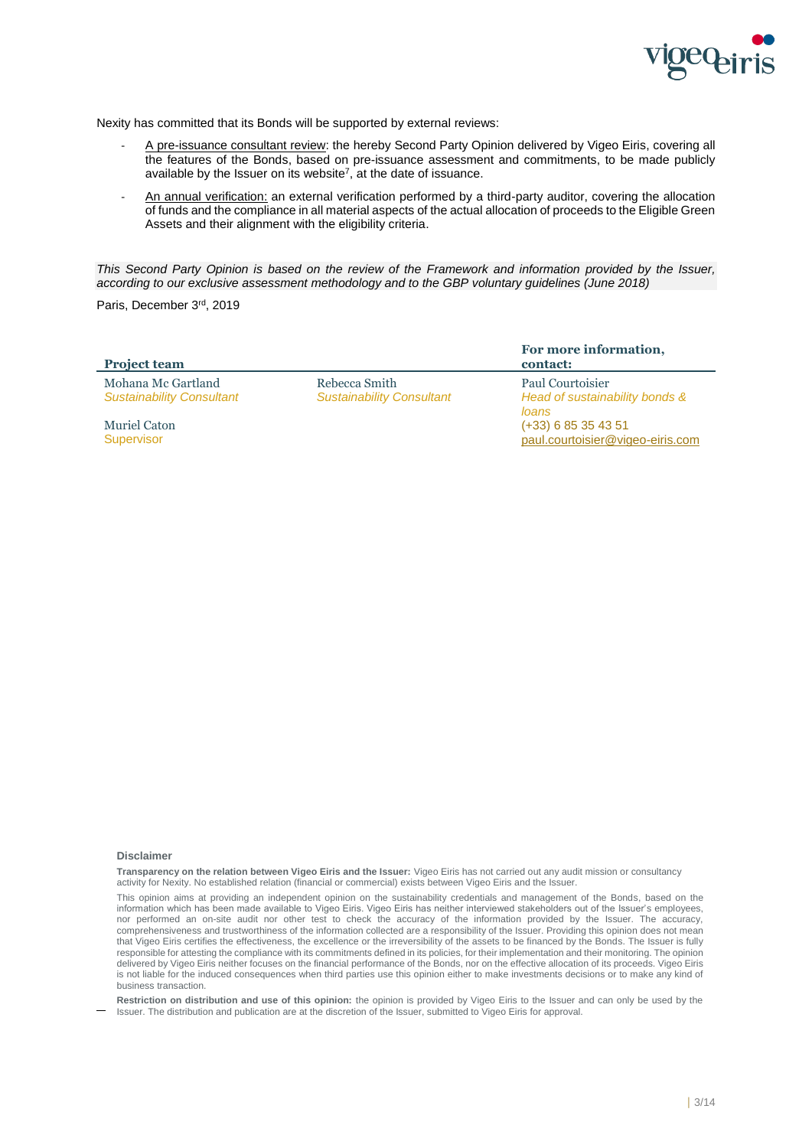

Nexity has committed that its Bonds will be supported by external reviews:

- A pre-issuance consultant review: the hereby Second Party Opinion delivered by Vigeo Eiris, covering all the features of the Bonds, based on pre-issuance assessment and commitments, to be made publicly available by the Issuer on its website<sup>7</sup>, at the date of issuance.
- An annual verification: an external verification performed by a third-party auditor, covering the allocation of funds and the compliance in all material aspects of the actual allocation of proceeds to the Eligible Green Assets and their alignment with the eligibility criteria.

*This Second Party Opinion is based on the review of the Framework and information provided by the Issuer, according to our exclusive assessment methodology and to the GBP voluntary guidelines (June 2018)*

Paris, December 3<sup>rd</sup>, 2019

| <b>Project team</b>                                    |                                                   | For more information,<br>contact:                           |
|--------------------------------------------------------|---------------------------------------------------|-------------------------------------------------------------|
| Mohana Mc Gartland<br><b>Sustainability Consultant</b> | Rebecca Smith<br><b>Sustainability Consultant</b> | Paul Courtoisier<br>Head of sustainability bonds &<br>loans |
| Muriel Caton<br>Supervisor                             |                                                   | $(+33)$ 6 85 35 43 51<br>paul.courtoisier@vigeo-eiris.com   |

#### **Disclaimer**

**Transparency on the relation between Vigeo Eiris and the Issuer:** Vigeo Eiris has not carried out any audit mission or consultancy activity for Nexity. No established relation (financial or commercial) exists between Vigeo Eiris and the Issuer.

This opinion aims at providing an independent opinion on the sustainability credentials and management of the Bonds, based on the information which has been made available to Vigeo Eiris. Vigeo Eiris has neither interviewed stakeholders out of the Issuer's employees, nor performed an on-site audit nor other test to check the accuracy of the information provided by the Issuer. The accuracy, comprehensiveness and trustworthiness of the information collected are a responsibility of the Issuer. Providing this opinion does not mean that Vigeo Eiris certifies the effectiveness, the excellence or the irreversibility of the assets to be financed by the Bonds. The Issuer is fully responsible for attesting the compliance with its commitments defined in its policies, for their implementation and their monitoring. The opinion delivered by Vigeo Eiris neither focuses on the financial performance of the Bonds, nor on the effective allocation of its proceeds. Vigeo Eiris is not liable for the induced consequences when third parties use this opinion either to make investments decisions or to make any kind of business transaction.

l **Restriction on distribution and use of this opinion:** the opinion is provided by Vigeo Eiris to the Issuer and can only be used by the Issuer. The distribution and publication are at the discretion of the Issuer, submitted to Vigeo Eiris for approval.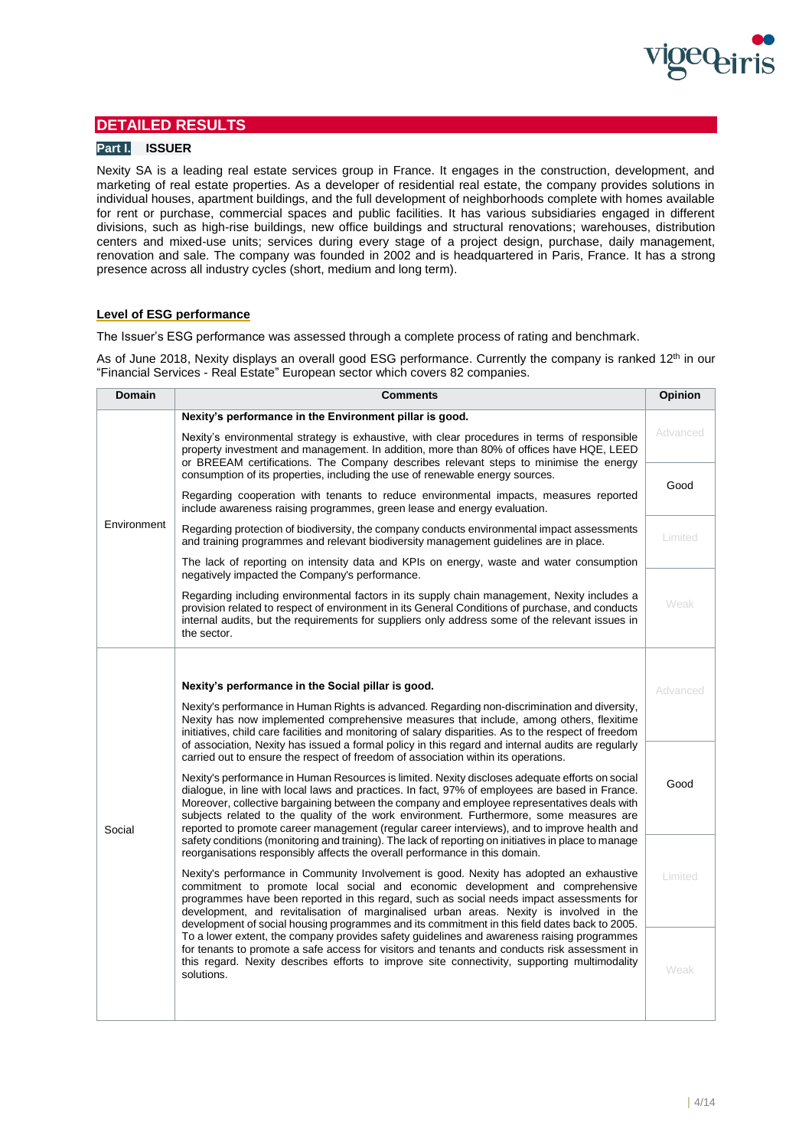

# **DETAILED RESULTS**

# **Part I. ISSUER**

Nexity SA is a leading real estate services group in France. It engages in the construction, development, and marketing of real estate properties. As a developer of residential real estate, the company provides solutions in individual houses, apartment buildings, and the full development of neighborhoods complete with homes available for rent or purchase, commercial spaces and public facilities. It has various subsidiaries engaged in different divisions, such as high-rise buildings, new office buildings and structural renovations; warehouses, distribution centers and mixed-use units; services during every stage of a project design, purchase, daily management, renovation and sale. The company was founded in 2002 and is headquartered in Paris, France. It has a strong presence across all industry cycles (short, medium and long term).

# **Level of ESG performance**

The Issuer's ESG performance was assessed through a complete process of rating and benchmark.

As of June 2018, Nexity displays an overall good ESG performance. Currently the company is ranked 12<sup>th</sup> in our "Financial Services - Real Estate" European sector which covers 82 companies.

| <b>Domain</b> | <b>Comments</b>                                                                                                                                                                                                                                                                                                                                                                                                                                                                                                                                                                                                                                                                                                                                                                                                                                                                                                                                                                                                                                                                                                                                                                                                                                                                                                                                                                                                                                                                                                                                                                                                                                                                                                                                                                                                                                                                                                                                                                                                             | <b>Opinion</b> |
|---------------|-----------------------------------------------------------------------------------------------------------------------------------------------------------------------------------------------------------------------------------------------------------------------------------------------------------------------------------------------------------------------------------------------------------------------------------------------------------------------------------------------------------------------------------------------------------------------------------------------------------------------------------------------------------------------------------------------------------------------------------------------------------------------------------------------------------------------------------------------------------------------------------------------------------------------------------------------------------------------------------------------------------------------------------------------------------------------------------------------------------------------------------------------------------------------------------------------------------------------------------------------------------------------------------------------------------------------------------------------------------------------------------------------------------------------------------------------------------------------------------------------------------------------------------------------------------------------------------------------------------------------------------------------------------------------------------------------------------------------------------------------------------------------------------------------------------------------------------------------------------------------------------------------------------------------------------------------------------------------------------------------------------------------------|----------------|
|               | Nexity's performance in the Environment pillar is good.                                                                                                                                                                                                                                                                                                                                                                                                                                                                                                                                                                                                                                                                                                                                                                                                                                                                                                                                                                                                                                                                                                                                                                                                                                                                                                                                                                                                                                                                                                                                                                                                                                                                                                                                                                                                                                                                                                                                                                     |                |
|               | Nexity's environmental strategy is exhaustive, with clear procedures in terms of responsible<br>property investment and management. In addition, more than 80% of offices have HQE, LEED<br>or BREEAM certifications. The Company describes relevant steps to minimise the energy<br>consumption of its properties, including the use of renewable energy sources.                                                                                                                                                                                                                                                                                                                                                                                                                                                                                                                                                                                                                                                                                                                                                                                                                                                                                                                                                                                                                                                                                                                                                                                                                                                                                                                                                                                                                                                                                                                                                                                                                                                          |                |
|               |                                                                                                                                                                                                                                                                                                                                                                                                                                                                                                                                                                                                                                                                                                                                                                                                                                                                                                                                                                                                                                                                                                                                                                                                                                                                                                                                                                                                                                                                                                                                                                                                                                                                                                                                                                                                                                                                                                                                                                                                                             |                |
|               | Regarding cooperation with tenants to reduce environmental impacts, measures reported<br>include awareness raising programmes, green lease and energy evaluation.                                                                                                                                                                                                                                                                                                                                                                                                                                                                                                                                                                                                                                                                                                                                                                                                                                                                                                                                                                                                                                                                                                                                                                                                                                                                                                                                                                                                                                                                                                                                                                                                                                                                                                                                                                                                                                                           |                |
| Environment   | Regarding protection of biodiversity, the company conducts environmental impact assessments<br>and training programmes and relevant biodiversity management guidelines are in place.                                                                                                                                                                                                                                                                                                                                                                                                                                                                                                                                                                                                                                                                                                                                                                                                                                                                                                                                                                                                                                                                                                                                                                                                                                                                                                                                                                                                                                                                                                                                                                                                                                                                                                                                                                                                                                        |                |
|               | The lack of reporting on intensity data and KPIs on energy, waste and water consumption<br>negatively impacted the Company's performance.                                                                                                                                                                                                                                                                                                                                                                                                                                                                                                                                                                                                                                                                                                                                                                                                                                                                                                                                                                                                                                                                                                                                                                                                                                                                                                                                                                                                                                                                                                                                                                                                                                                                                                                                                                                                                                                                                   |                |
|               | Regarding including environmental factors in its supply chain management, Nexity includes a<br>provision related to respect of environment in its General Conditions of purchase, and conducts<br>internal audits, but the requirements for suppliers only address some of the relevant issues in<br>the sector.                                                                                                                                                                                                                                                                                                                                                                                                                                                                                                                                                                                                                                                                                                                                                                                                                                                                                                                                                                                                                                                                                                                                                                                                                                                                                                                                                                                                                                                                                                                                                                                                                                                                                                            | Weak           |
|               | Nexity's performance in the Social pillar is good.<br>Nexity's performance in Human Rights is advanced. Regarding non-discrimination and diversity,<br>Nexity has now implemented comprehensive measures that include, among others, flexitime<br>initiatives, child care facilities and monitoring of salary disparities. As to the respect of freedom<br>of association, Nexity has issued a formal policy in this regard and internal audits are regularly<br>carried out to ensure the respect of freedom of association within its operations.<br>Nexity's performance in Human Resources is limited. Nexity discloses adequate efforts on social<br>dialogue, in line with local laws and practices. In fact, 97% of employees are based in France.<br>Moreover, collective bargaining between the company and employee representatives deals with<br>subjects related to the quality of the work environment. Furthermore, some measures are<br>reported to promote career management (regular career interviews), and to improve health and<br>safety conditions (monitoring and training). The lack of reporting on initiatives in place to manage<br>reorganisations responsibly affects the overall performance in this domain.<br>Nexity's performance in Community Involvement is good. Nexity has adopted an exhaustive<br>commitment to promote local social and economic development and comprehensive<br>programmes have been reported in this regard, such as social needs impact assessments for<br>development, and revitalisation of marginalised urban areas. Nexity is involved in the<br>development of social housing programmes and its commitment in this field dates back to 2005.<br>To a lower extent, the company provides safety guidelines and awareness raising programmes<br>for tenants to promote a safe access for visitors and tenants and conducts risk assessment in<br>this regard. Nexity describes efforts to improve site connectivity, supporting multimodality<br>solutions. |                |
|               |                                                                                                                                                                                                                                                                                                                                                                                                                                                                                                                                                                                                                                                                                                                                                                                                                                                                                                                                                                                                                                                                                                                                                                                                                                                                                                                                                                                                                                                                                                                                                                                                                                                                                                                                                                                                                                                                                                                                                                                                                             |                |
|               |                                                                                                                                                                                                                                                                                                                                                                                                                                                                                                                                                                                                                                                                                                                                                                                                                                                                                                                                                                                                                                                                                                                                                                                                                                                                                                                                                                                                                                                                                                                                                                                                                                                                                                                                                                                                                                                                                                                                                                                                                             |                |
|               |                                                                                                                                                                                                                                                                                                                                                                                                                                                                                                                                                                                                                                                                                                                                                                                                                                                                                                                                                                                                                                                                                                                                                                                                                                                                                                                                                                                                                                                                                                                                                                                                                                                                                                                                                                                                                                                                                                                                                                                                                             |                |
| Social        |                                                                                                                                                                                                                                                                                                                                                                                                                                                                                                                                                                                                                                                                                                                                                                                                                                                                                                                                                                                                                                                                                                                                                                                                                                                                                                                                                                                                                                                                                                                                                                                                                                                                                                                                                                                                                                                                                                                                                                                                                             |                |
|               |                                                                                                                                                                                                                                                                                                                                                                                                                                                                                                                                                                                                                                                                                                                                                                                                                                                                                                                                                                                                                                                                                                                                                                                                                                                                                                                                                                                                                                                                                                                                                                                                                                                                                                                                                                                                                                                                                                                                                                                                                             |                |
|               |                                                                                                                                                                                                                                                                                                                                                                                                                                                                                                                                                                                                                                                                                                                                                                                                                                                                                                                                                                                                                                                                                                                                                                                                                                                                                                                                                                                                                                                                                                                                                                                                                                                                                                                                                                                                                                                                                                                                                                                                                             |                |
|               |                                                                                                                                                                                                                                                                                                                                                                                                                                                                                                                                                                                                                                                                                                                                                                                                                                                                                                                                                                                                                                                                                                                                                                                                                                                                                                                                                                                                                                                                                                                                                                                                                                                                                                                                                                                                                                                                                                                                                                                                                             |                |
|               |                                                                                                                                                                                                                                                                                                                                                                                                                                                                                                                                                                                                                                                                                                                                                                                                                                                                                                                                                                                                                                                                                                                                                                                                                                                                                                                                                                                                                                                                                                                                                                                                                                                                                                                                                                                                                                                                                                                                                                                                                             |                |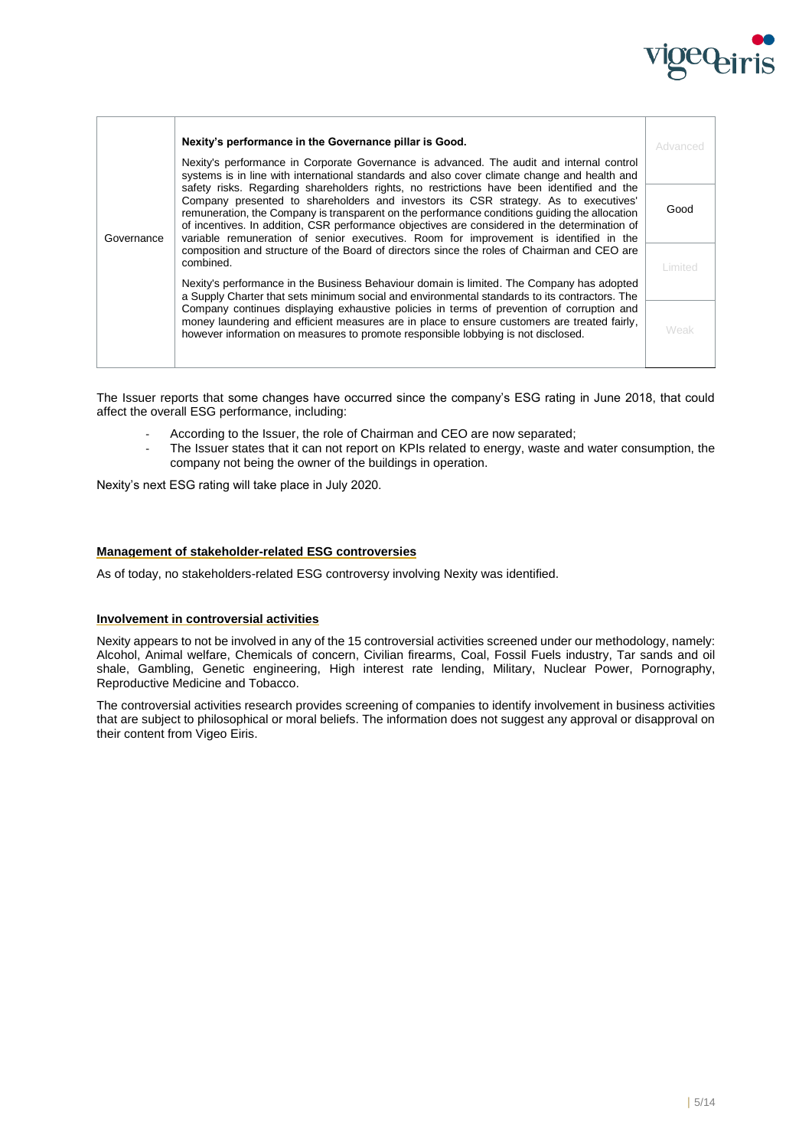

|            | Nexity's performance in the Governance pillar is Good.                                                                                                                                                                                                                                                                                                                                                                                                                                                                                                                     | Advanced       |
|------------|----------------------------------------------------------------------------------------------------------------------------------------------------------------------------------------------------------------------------------------------------------------------------------------------------------------------------------------------------------------------------------------------------------------------------------------------------------------------------------------------------------------------------------------------------------------------------|----------------|
|            | Nexity's performance in Corporate Governance is advanced. The audit and internal control<br>systems is in line with international standards and also cover climate change and health and                                                                                                                                                                                                                                                                                                                                                                                   |                |
| Governance | safety risks. Regarding shareholders rights, no restrictions have been identified and the<br>Company presented to shareholders and investors its CSR strategy. As to executives'<br>remuneration, the Company is transparent on the performance conditions quiding the allocation<br>of incentives. In addition, CSR performance objectives are considered in the determination of<br>variable remuneration of senior executives. Room for improvement is identified in the<br>composition and structure of the Board of directors since the roles of Chairman and CEO are | Good           |
|            | combined.                                                                                                                                                                                                                                                                                                                                                                                                                                                                                                                                                                  | <b>Limited</b> |
|            | Nexity's performance in the Business Behaviour domain is limited. The Company has adopted<br>a Supply Charter that sets minimum social and environmental standards to its contractors. The                                                                                                                                                                                                                                                                                                                                                                                 |                |
|            | Company continues displaying exhaustive policies in terms of prevention of corruption and<br>money laundering and efficient measures are in place to ensure customers are treated fairly,<br>however information on measures to promote responsible lobbying is not disclosed.                                                                                                                                                                                                                                                                                             | Weak           |

The Issuer reports that some changes have occurred since the company's ESG rating in June 2018, that could affect the overall ESG performance, including:

- According to the Issuer, the role of Chairman and CEO are now separated;
- The Issuer states that it can not report on KPIs related to energy, waste and water consumption, the company not being the owner of the buildings in operation.

Nexity's next ESG rating will take place in July 2020.

# **Management of stakeholder-related ESG controversies**

As of today, no stakeholders-related ESG controversy involving Nexity was identified.

# **Involvement in controversial activities**

Nexity appears to not be involved in any of the 15 controversial activities screened under our methodology, namely: Alcohol, Animal welfare, Chemicals of concern, Civilian firearms, Coal, Fossil Fuels industry, Tar sands and oil shale, Gambling, Genetic engineering, High interest rate lending, Military, Nuclear Power, Pornography, Reproductive Medicine and Tobacco.

The controversial activities research provides screening of companies to identify involvement in business activities that are subject to philosophical or moral beliefs. The information does not suggest any approval or disapproval on their content from Vigeo Eiris.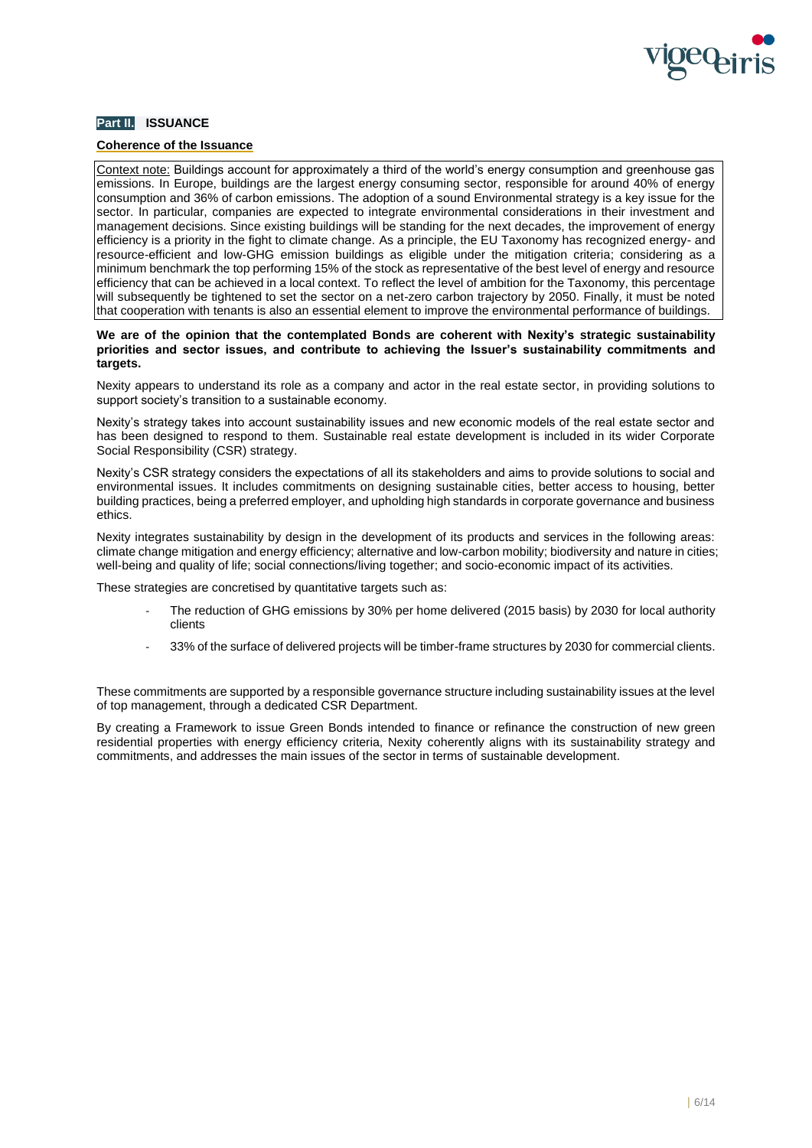

# **Part II. ISSUANCE**

# **Coherence of the Issuance**

Context note: Buildings account for approximately a third of the world's energy consumption and greenhouse gas emissions. In Europe, buildings are the largest energy consuming sector, responsible for around 40% of energy consumption and 36% of carbon emissions. The adoption of a sound Environmental strategy is a key issue for the sector. In particular, companies are expected to integrate environmental considerations in their investment and management decisions. Since existing buildings will be standing for the next decades, the improvement of energy efficiency is a priority in the fight to climate change. As a principle, the EU Taxonomy has recognized energy- and resource-efficient and low-GHG emission buildings as eligible under the mitigation criteria; considering as a minimum benchmark the top performing 15% of the stock as representative of the best level of energy and resource efficiency that can be achieved in a local context. To reflect the level of ambition for the Taxonomy, this percentage will subsequently be tightened to set the sector on a net-zero carbon trajectory by 2050. Finally, it must be noted that cooperation with tenants is also an essential element to improve the environmental performance of buildings.

### **We are of the opinion that the contemplated Bonds are coherent with Nexity's strategic sustainability priorities and sector issues, and contribute to achieving the Issuer's sustainability commitments and targets.**

Nexity appears to understand its role as a company and actor in the real estate sector, in providing solutions to support society's transition to a sustainable economy.

Nexity's strategy takes into account sustainability issues and new economic models of the real estate sector and has been designed to respond to them. Sustainable real estate development is included in its wider Corporate Social Responsibility (CSR) strategy.

Nexity's CSR strategy considers the expectations of all its stakeholders and aims to provide solutions to social and environmental issues. It includes commitments on designing sustainable cities, better access to housing, better building practices, being a preferred employer, and upholding high standards in corporate governance and business ethics.

Nexity integrates sustainability by design in the development of its products and services in the following areas: climate change mitigation and energy efficiency; alternative and low-carbon mobility; biodiversity and nature in cities; well-being and quality of life; social connections/living together; and socio-economic impact of its activities.

These strategies are concretised by quantitative targets such as:

- The reduction of GHG emissions by 30% per home delivered (2015 basis) by 2030 for local authority clients
- 33% of the surface of delivered projects will be timber-frame structures by 2030 for commercial clients.

These commitments are supported by a responsible governance structure including sustainability issues at the level of top management, through a dedicated CSR Department.

By creating a Framework to issue Green Bonds intended to finance or refinance the construction of new green residential properties with energy efficiency criteria, Nexity coherently aligns with its sustainability strategy and commitments, and addresses the main issues of the sector in terms of sustainable development.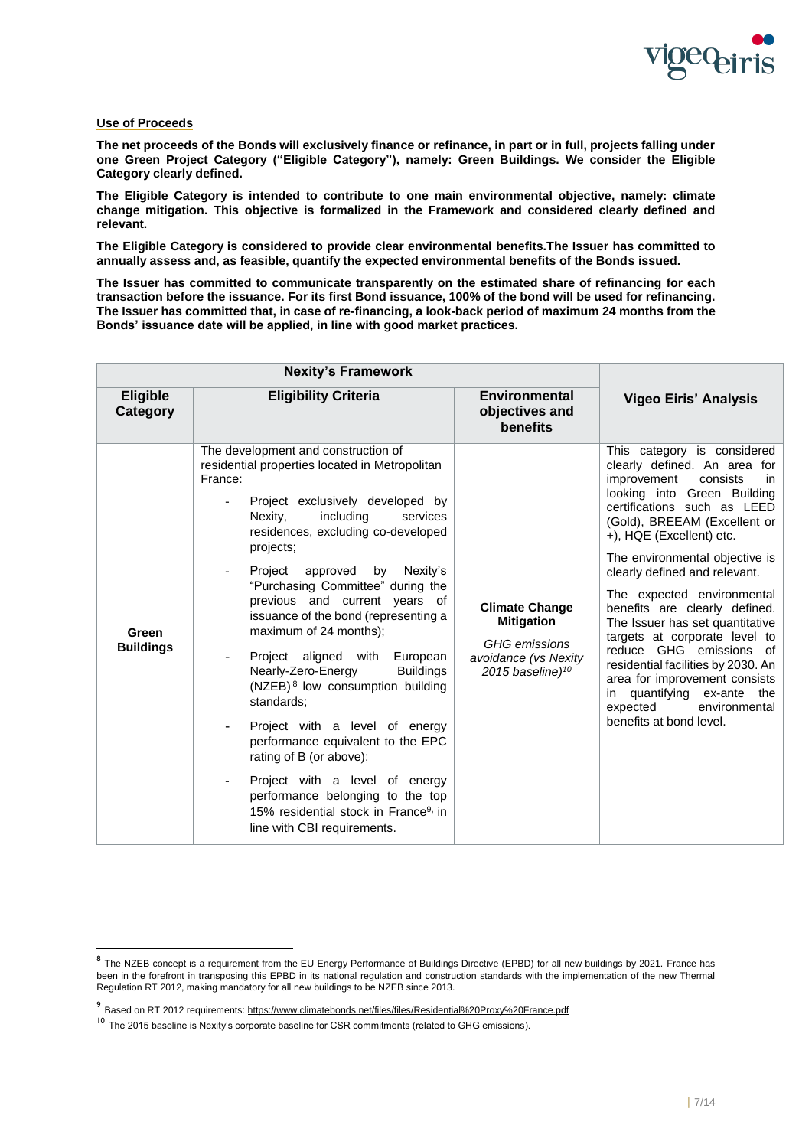

# **Use of Proceeds**

l

**The net proceeds of the Bonds will exclusively finance or refinance, in part or in full, projects falling under one Green Project Category ("Eligible Category"), namely: Green Buildings. We consider the Eligible Category clearly defined.**

**The Eligible Category is intended to contribute to one main environmental objective, namely: climate change mitigation. This objective is formalized in the Framework and considered clearly defined and relevant.**

**The Eligible Category is considered to provide clear environmental benefits.The Issuer has committed to annually assess and, as feasible, quantify the expected environmental benefits of the Bonds issued.**

**The Issuer has committed to communicate transparently on the estimated share of refinancing for each transaction before the issuance. For its first Bond issuance, 100% of the bond will be used for refinancing. The Issuer has committed that, in case of re-financing, a look-back period of maximum 24 months from the Bonds' issuance date will be applied, in line with good market practices.**

|                             | <b>Nexity's Framework</b>                                                                                                                                                                                                                                                                                                                                                                                                                                                                                                                                                                                                                                                                                                                                                                                     |                                                                                                                   |                                                                                                                                                                                                                                                                                                                                                                                                                                                                                                                                                                                                                         |
|-----------------------------|---------------------------------------------------------------------------------------------------------------------------------------------------------------------------------------------------------------------------------------------------------------------------------------------------------------------------------------------------------------------------------------------------------------------------------------------------------------------------------------------------------------------------------------------------------------------------------------------------------------------------------------------------------------------------------------------------------------------------------------------------------------------------------------------------------------|-------------------------------------------------------------------------------------------------------------------|-------------------------------------------------------------------------------------------------------------------------------------------------------------------------------------------------------------------------------------------------------------------------------------------------------------------------------------------------------------------------------------------------------------------------------------------------------------------------------------------------------------------------------------------------------------------------------------------------------------------------|
| <b>Eligible</b><br>Category | <b>Eligibility Criteria</b>                                                                                                                                                                                                                                                                                                                                                                                                                                                                                                                                                                                                                                                                                                                                                                                   | <b>Environmental</b><br>objectives and<br>benefits                                                                | <b>Vigeo Eiris' Analysis</b>                                                                                                                                                                                                                                                                                                                                                                                                                                                                                                                                                                                            |
| Green<br><b>Buildings</b>   | The development and construction of<br>residential properties located in Metropolitan<br>France:<br>Project exclusively developed by<br>Nexity,<br>including<br>services<br>residences, excluding co-developed<br>projects;<br>Project approved<br>by<br>Nexity's<br>"Purchasing Committee" during the<br>previous and current years of<br>issuance of the bond (representing a<br>maximum of 24 months);<br>Project aligned with European<br>Nearly-Zero-Energy<br><b>Buildings</b><br>(NZEB) <sup>8</sup> low consumption building<br>standards:<br>Project with a level of energy<br>performance equivalent to the EPC<br>rating of B (or above);<br>Project with a level of energy<br>performance belonging to the top<br>15% residential stock in France <sup>9,</sup> in<br>line with CBI requirements. | <b>Climate Change</b><br><b>Mitigation</b><br><b>GHG</b> emissions<br>avoidance (vs Nexity<br>2015 baseline) $10$ | This category is considered<br>clearly defined. An area for<br>improvement<br>consists<br>in<br>looking into Green Building<br>certifications such as LEED<br>(Gold), BREEAM (Excellent or<br>+), HQE (Excellent) etc.<br>The environmental objective is<br>clearly defined and relevant.<br>The expected environmental<br>benefits are clearly defined.<br>The Issuer has set quantitative<br>targets at corporate level to<br>reduce GHG emissions of<br>residential facilities by 2030. An<br>area for improvement consists<br>in quantifying ex-ante<br>the<br>expected<br>environmental<br>benefits at bond level. |

<sup>&</sup>lt;sup>8</sup> The NZEB concept is a requirement from the EU Energy Performance of Buildings Directive (EPBD) for all new buildings by 2021. France has been in the forefront in transposing this EPBD in its national regulation and construction standards with the implementation of the new Thermal Regulation RT 2012, making mandatory for all new buildings to be NZEB since 2013.

<sup>9&</sup>lt;br>Based on RT 2012 requirements: https://www.climatebonds.net/files/files/Residential%20Proxy%20France.pdf

<sup>&</sup>lt;sup>10</sup> The 2015 baseline is Nexity's corporate baseline for CSR commitments (related to GHG emissions).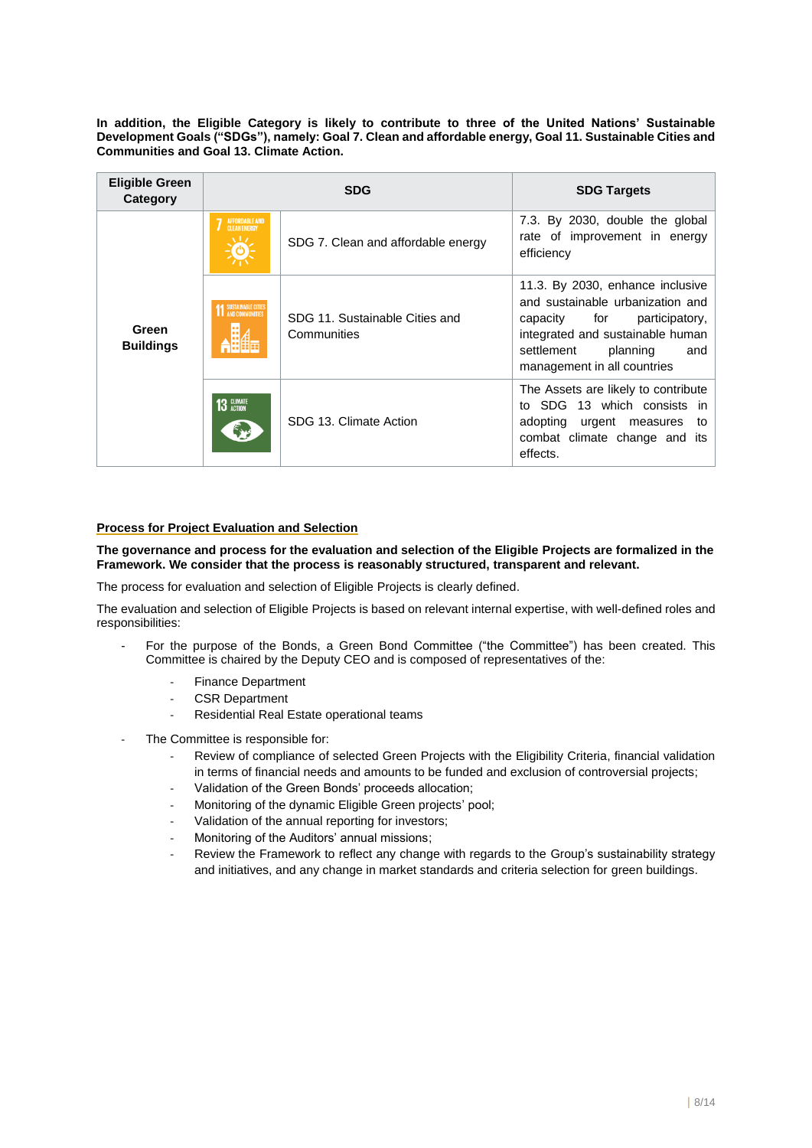**In addition, the Eligible Category is likely to contribute to three of the United Nations' Sustainable Development Goals ("SDGs"), namely: Goal 7. Clean and affordable energy, Goal 11. Sustainable Cities and Communities and Goal 13. Climate Action.**

| <b>Eligible Green</b><br>Category | <b>SDG</b>                     |                                               | <b>SDG Targets</b>                                                                                                                                                                                         |  |
|-----------------------------------|--------------------------------|-----------------------------------------------|------------------------------------------------------------------------------------------------------------------------------------------------------------------------------------------------------------|--|
|                                   | AFFORDABLE AND<br>CLEAN ENERGY | SDG 7. Clean and affordable energy            | 7.3. By 2030, double the global<br>rate of improvement in energy<br>efficiency                                                                                                                             |  |
| Green<br><b>Buildings</b>         | <b>11 SUSTAINABLE CITIES</b>   | SDG 11. Sustainable Cities and<br>Communities | 11.3. By 2030, enhance inclusive<br>and sustainable urbanization and<br>capacity for<br>participatory,<br>integrated and sustainable human<br>settlement<br>planning<br>and<br>management in all countries |  |
|                                   | 13 GLIMATE<br>مجهج             | SDG 13. Climate Action                        | The Assets are likely to contribute<br>to SDG 13 which consists in<br>adopting urgent measures<br>to<br>combat climate change and its<br>effects.                                                          |  |

# **Process for Project Evaluation and Selection**

**The governance and process for the evaluation and selection of the Eligible Projects are formalized in the Framework. We consider that the process is reasonably structured, transparent and relevant.**

The process for evaluation and selection of Eligible Projects is clearly defined.

The evaluation and selection of Eligible Projects is based on relevant internal expertise, with well-defined roles and responsibilities:

- For the purpose of the Bonds, a Green Bond Committee ("the Committee") has been created. This Committee is chaired by the Deputy CEO and is composed of representatives of the:
	- Finance Department
	- CSR Department
	- Residential Real Estate operational teams
- The Committee is responsible for:
	- Review of compliance of selected Green Projects with the Eligibility Criteria, financial validation in terms of financial needs and amounts to be funded and exclusion of controversial projects;
	- Validation of the Green Bonds' proceeds allocation;
	- Monitoring of the dynamic Eligible Green projects' pool;
	- Validation of the annual reporting for investors;
	- Monitoring of the Auditors' annual missions;
	- Review the Framework to reflect any change with regards to the Group's sustainability strategy and initiatives, and any change in market standards and criteria selection for green buildings.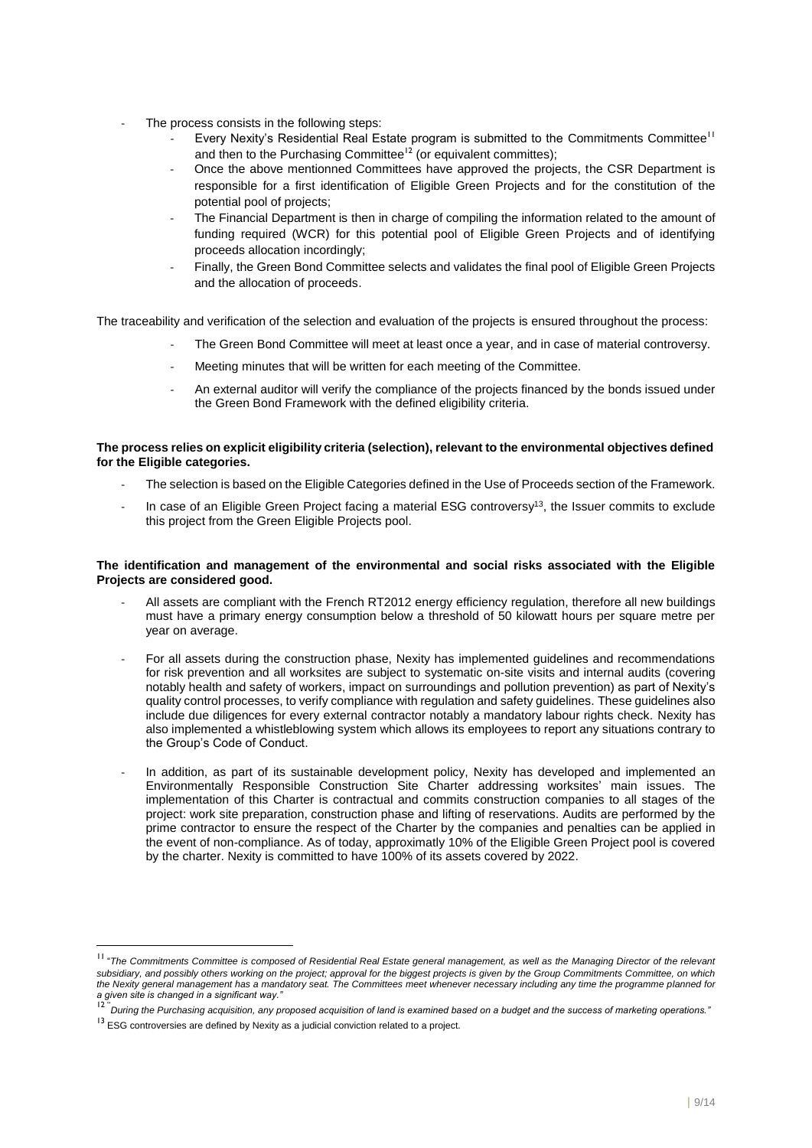- The process consists in the following steps:
	- Every Nexity's Residential Real Estate program is submitted to the Commitments Committee<sup>11</sup> and then to the Purchasing Committee<sup>12</sup> (or equivalent committes);
	- Once the above mentionned Committees have approved the projects, the CSR Department is responsible for a first identification of Eligible Green Projects and for the constitution of the potential pool of projects;
	- The Financial Department is then in charge of compiling the information related to the amount of funding required (WCR) for this potential pool of Eligible Green Projects and of identifying proceeds allocation incordingly;
	- Finally, the Green Bond Committee selects and validates the final pool of Eligible Green Projects and the allocation of proceeds.

The traceability and verification of the selection and evaluation of the projects is ensured throughout the process:

- The Green Bond Committee will meet at least once a year, and in case of material controversy.
- Meeting minutes that will be written for each meeting of the Committee.
- An external auditor will verify the compliance of the projects financed by the bonds issued under the Green Bond Framework with the defined eligibility criteria.

# **The process relies on explicit eligibility criteria (selection), relevant to the environmental objectives defined for the Eligible categories.**

- The selection is based on the Eligible Categories defined in the Use of Proceeds section of the Framework.
- In case of an Eligible Green Project facing a material ESG controversy<sup>13</sup>, the Issuer commits to exclude this project from the Green Eligible Projects pool.

# **The identification and management of the environmental and social risks associated with the Eligible Projects are considered good.**

- All assets are compliant with the French RT2012 energy efficiency regulation, therefore all new buildings must have a primary energy consumption below a threshold of 50 kilowatt hours per square metre per year on average.
- For all assets during the construction phase, Nexity has implemented guidelines and recommendations for risk prevention and all worksites are subject to systematic on-site visits and internal audits (covering notably health and safety of workers, impact on surroundings and pollution prevention) as part of Nexity's quality control processes, to verify compliance with regulation and safety guidelines. These guidelines also include due diligences for every external contractor notably a mandatory labour rights check. Nexity has also implemented a whistleblowing system which allows its employees to report any situations contrary to the Group's Code of Conduct.
- In addition, as part of its sustainable development policy, Nexity has developed and implemented an Environmentally Responsible Construction Site Charter addressing worksites' main issues. The implementation of this Charter is contractual and commits construction companies to all stages of the project: work site preparation, construction phase and lifting of reservations. Audits are performed by the prime contractor to ensure the respect of the Charter by the companies and penalties can be applied in the event of non-compliance. As of today, approximatly 10% of the Eligible Green Project pool is covered by the charter. Nexity is committed to have 100% of its assets covered by 2022.

l

<sup>&</sup>lt;sup>11</sup> "The Commitments Committee is composed of Residential Real Estate general management, as well as the Managing Director of the relevant *subsidiary, and possibly others working on the project; approval for the biggest projects is given by the Group Commitments Committee, on which the Nexity general management has a mandatory seat. The Committees meet whenever necessary including any time the programme planned for a given site is changed in a significant way."*

<sup>&</sup>lt;sup>12 "</sup>During the Purchasing acquisition, any proposed acquisition of land is examined based on a budget and the success of marketing operations.<sup>1</sup>

 $13$  ESG controversies are defined by Nexity as a judicial conviction related to a project.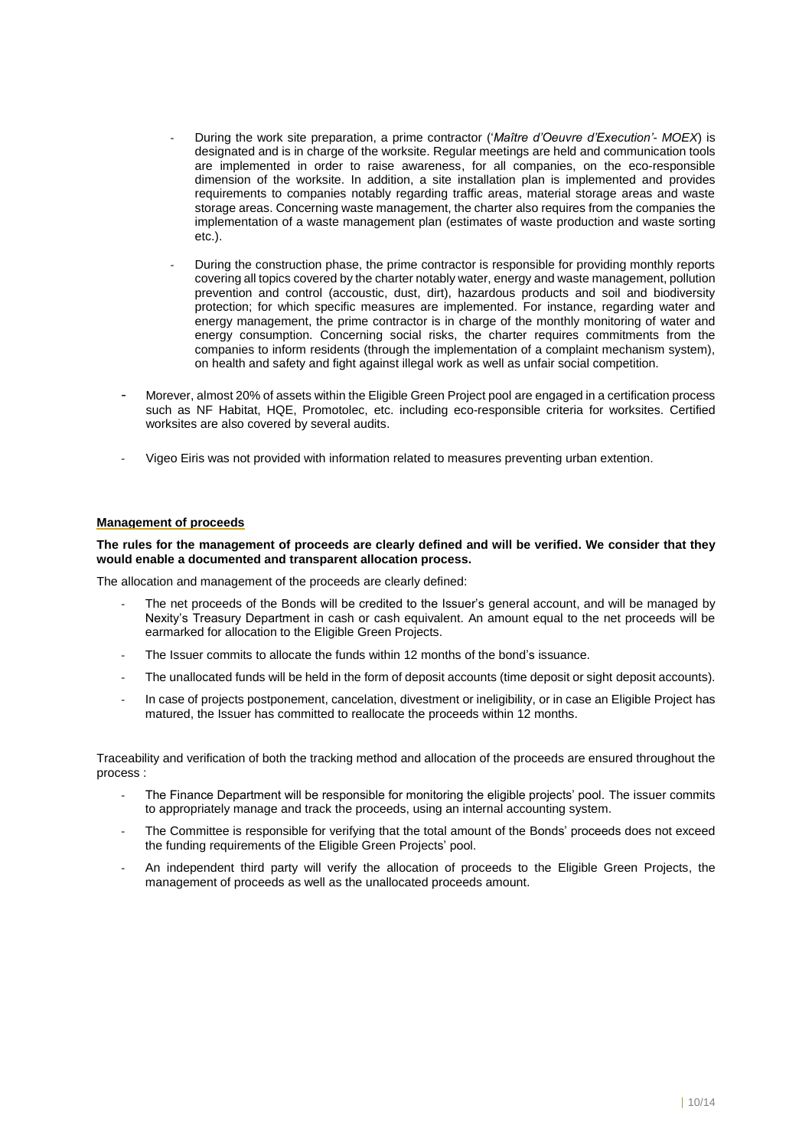- During the work site preparation, a prime contractor ('*Maître d'Oeuvre d'Execution'- MOEX*) is designated and is in charge of the worksite. Regular meetings are held and communication tools are implemented in order to raise awareness, for all companies, on the eco-responsible dimension of the worksite. In addition, a site installation plan is implemented and provides requirements to companies notably regarding traffic areas, material storage areas and waste storage areas. Concerning waste management, the charter also requires from the companies the implementation of a waste management plan (estimates of waste production and waste sorting  $eta$ ).
- During the construction phase, the prime contractor is responsible for providing monthly reports covering all topics covered by the charter notably water, energy and waste management, pollution prevention and control (accoustic, dust, dirt), hazardous products and soil and biodiversity protection; for which specific measures are implemented. For instance, regarding water and energy management, the prime contractor is in charge of the monthly monitoring of water and energy consumption. Concerning social risks, the charter requires commitments from the companies to inform residents (through the implementation of a complaint mechanism system), on health and safety and fight against illegal work as well as unfair social competition.
- Morever, almost 20% of assets within the Eligible Green Project pool are engaged in a certification process such as NF Habitat, HQE, Promotolec, etc. including eco-responsible criteria for worksites. Certified worksites are also covered by several audits.
- Vigeo Eiris was not provided with information related to measures preventing urban extention.

#### **Management of proceeds**

**The rules for the management of proceeds are clearly defined and will be verified. We consider that they would enable a documented and transparent allocation process.**

The allocation and management of the proceeds are clearly defined:

- The net proceeds of the Bonds will be credited to the Issuer's general account, and will be managed by Nexity's Treasury Department in cash or cash equivalent. An amount equal to the net proceeds will be earmarked for allocation to the Eligible Green Projects.
- The Issuer commits to allocate the funds within 12 months of the bond's issuance.
- The unallocated funds will be held in the form of deposit accounts (time deposit or sight deposit accounts).
- In case of projects postponement, cancelation, divestment or ineligibility, or in case an Eligible Project has matured, the Issuer has committed to reallocate the proceeds within 12 months.

Traceability and verification of both the tracking method and allocation of the proceeds are ensured throughout the process :

- The Finance Department will be responsible for monitoring the eligible projects' pool. The issuer commits to appropriately manage and track the proceeds, using an internal accounting system.
- The Committee is responsible for verifying that the total amount of the Bonds' proceeds does not exceed the funding requirements of the Eligible Green Projects' pool.
- An independent third party will verify the allocation of proceeds to the Eligible Green Projects, the management of proceeds as well as the unallocated proceeds amount.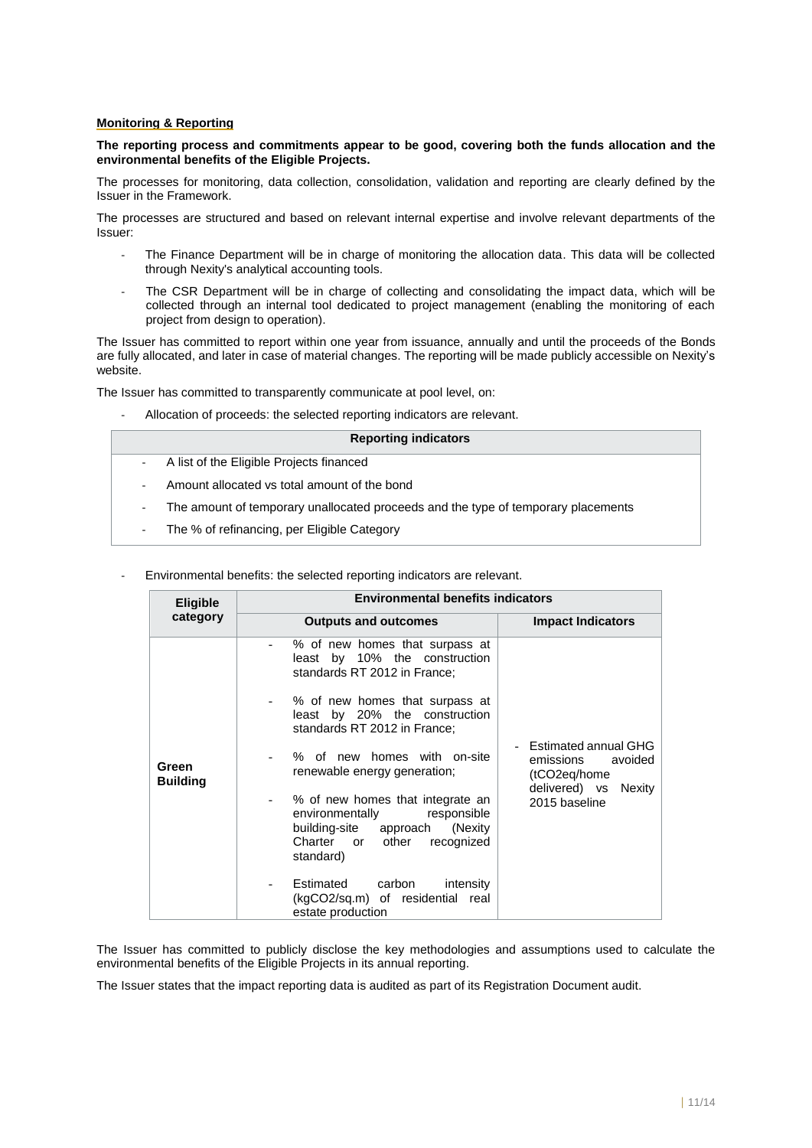# **Monitoring & Reporting**

# **The reporting process and commitments appear to be good, covering both the funds allocation and the environmental benefits of the Eligible Projects.**

The processes for monitoring, data collection, consolidation, validation and reporting are clearly defined by the Issuer in the Framework.

The processes are structured and based on relevant internal expertise and involve relevant departments of the Issuer:

- The Finance Department will be in charge of monitoring the allocation data. This data will be collected through Nexity's analytical accounting tools.
- The CSR Department will be in charge of collecting and consolidating the impact data, which will be collected through an internal tool dedicated to project management (enabling the monitoring of each project from design to operation).

The Issuer has committed to report within one year from issuance, annually and until the proceeds of the Bonds are fully allocated, and later in case of material changes. The reporting will be made publicly accessible on Nexity's website.

The Issuer has committed to transparently communicate at pool level, on:

Allocation of proceeds: the selected reporting indicators are relevant.

## **Reporting indicators**

- A list of the Eligible Projects financed
- Amount allocated vs total amount of the bond
- The amount of temporary unallocated proceeds and the type of temporary placements
- The % of refinancing, per Eligible Category
- Environmental benefits: the selected reporting indicators are relevant.

| <b>Eligible</b>          | <b>Environmental benefits indicators</b>                                                                                                                                                                                                                                                                                                                                                                                                                                                                              |                                                                                                       |
|--------------------------|-----------------------------------------------------------------------------------------------------------------------------------------------------------------------------------------------------------------------------------------------------------------------------------------------------------------------------------------------------------------------------------------------------------------------------------------------------------------------------------------------------------------------|-------------------------------------------------------------------------------------------------------|
| category                 | <b>Outputs and outcomes</b>                                                                                                                                                                                                                                                                                                                                                                                                                                                                                           | <b>Impact Indicators</b>                                                                              |
| Green<br><b>Building</b> | % of new homes that surpass at<br>least by 10% the construction<br>standards RT 2012 in France;<br>% of new homes that surpass at<br>least by 20% the construction<br>standards RT 2012 in France;<br>% of new homes with on-site<br>renewable energy generation;<br>% of new homes that integrate an<br>environmentally<br>responsible<br>building-site approach (Nexity<br>Charter or other<br>recognized<br>standard)<br>Estimated<br>carbon<br>intensity<br>(kgCO2/sq.m) of residential real<br>estate production | Estimated annual GHG<br>emissions<br>avoided<br>(tCO2eq/home<br>delivered) vs Nexity<br>2015 baseline |

The Issuer has committed to publicly disclose the key methodologies and assumptions used to calculate the environmental benefits of the Eligible Projects in its annual reporting.

The Issuer states that the impact reporting data is audited as part of its Registration Document audit.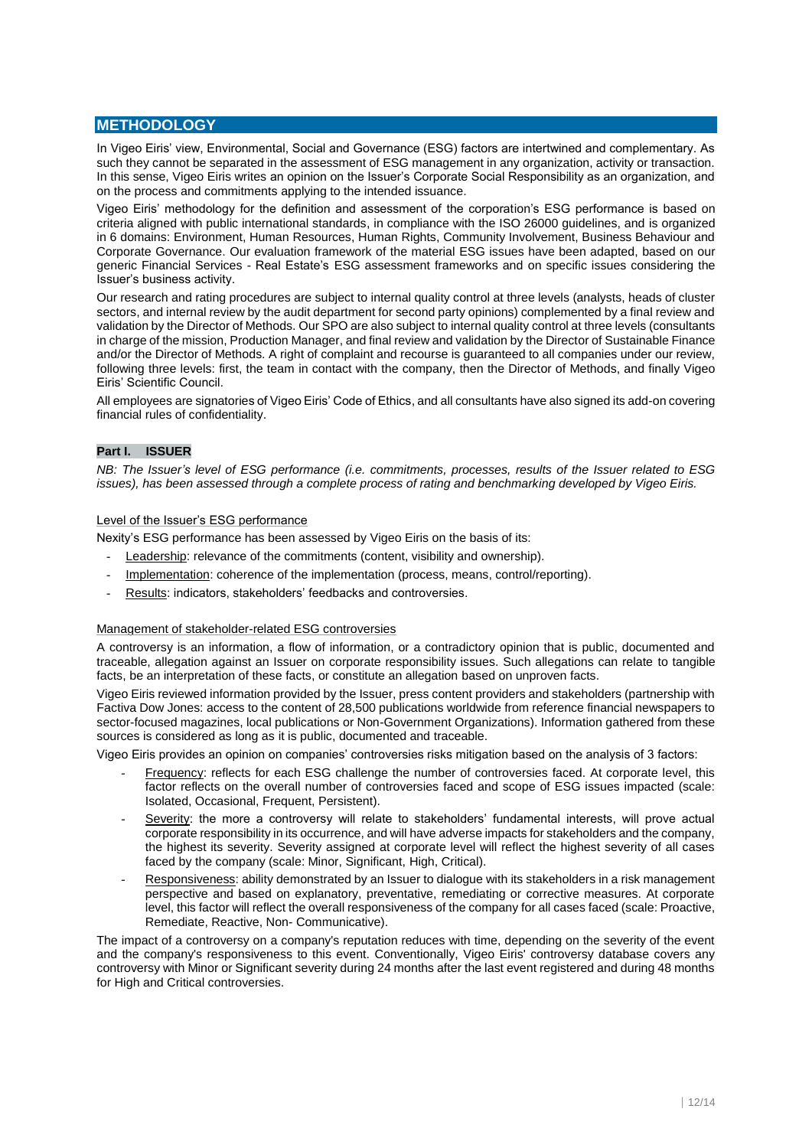# **METHODOLOGY**

In Vigeo Eiris' view, Environmental, Social and Governance (ESG) factors are intertwined and complementary. As such they cannot be separated in the assessment of ESG management in any organization, activity or transaction. In this sense, Vigeo Eiris writes an opinion on the Issuer's Corporate Social Responsibility as an organization, and on the process and commitments applying to the intended issuance.

Vigeo Eiris' methodology for the definition and assessment of the corporation's ESG performance is based on criteria aligned with public international standards, in compliance with the ISO 26000 guidelines, and is organized in 6 domains: Environment, Human Resources, Human Rights, Community Involvement, Business Behaviour and Corporate Governance. Our evaluation framework of the material ESG issues have been adapted, based on our generic Financial Services - Real Estate's ESG assessment frameworks and on specific issues considering the Issuer's business activity.

Our research and rating procedures are subject to internal quality control at three levels (analysts, heads of cluster sectors, and internal review by the audit department for second party opinions) complemented by a final review and validation by the Director of Methods. Our SPO are also subject to internal quality control at three levels (consultants in charge of the mission, Production Manager, and final review and validation by the Director of Sustainable Finance and/or the Director of Methods. A right of complaint and recourse is guaranteed to all companies under our review, following three levels: first, the team in contact with the company, then the Director of Methods, and finally Vigeo Eiris' Scientific Council.

All employees are signatories of Vigeo Eiris' Code of Ethics, and all consultants have also signed its add-on covering financial rules of confidentiality.

# **Part I. ISSUER**

*NB: The Issuer's level of ESG performance (i.e. commitments, processes, results of the Issuer related to ESG issues), has been assessed through a complete process of rating and benchmarking developed by Vigeo Eiris.* 

# Level of the Issuer's ESG performance

Nexity's ESG performance has been assessed by Vigeo Eiris on the basis of its:

- Leadership: relevance of the commitments (content, visibility and ownership).
- Implementation: coherence of the implementation (process, means, control/reporting).
- Results: indicators, stakeholders' feedbacks and controversies.

# Management of stakeholder-related ESG controversies

A controversy is an information, a flow of information, or a contradictory opinion that is public, documented and traceable, allegation against an Issuer on corporate responsibility issues. Such allegations can relate to tangible facts, be an interpretation of these facts, or constitute an allegation based on unproven facts.

Vigeo Eiris reviewed information provided by the Issuer, press content providers and stakeholders (partnership with Factiva Dow Jones: access to the content of 28,500 publications worldwide from reference financial newspapers to sector-focused magazines, local publications or Non-Government Organizations). Information gathered from these sources is considered as long as it is public, documented and traceable.

Vigeo Eiris provides an opinion on companies' controversies risks mitigation based on the analysis of 3 factors:

- Frequency: reflects for each ESG challenge the number of controversies faced. At corporate level, this factor reflects on the overall number of controversies faced and scope of ESG issues impacted (scale: Isolated, Occasional, Frequent, Persistent).
- Severity: the more a controversy will relate to stakeholders' fundamental interests, will prove actual corporate responsibility in its occurrence, and will have adverse impacts for stakeholders and the company, the highest its severity. Severity assigned at corporate level will reflect the highest severity of all cases faced by the company (scale: Minor, Significant, High, Critical).
- Responsiveness: ability demonstrated by an Issuer to dialogue with its stakeholders in a risk management perspective and based on explanatory, preventative, remediating or corrective measures. At corporate level, this factor will reflect the overall responsiveness of the company for all cases faced (scale: Proactive, Remediate, Reactive, Non- Communicative).

The impact of a controversy on a company's reputation reduces with time, depending on the severity of the event and the company's responsiveness to this event. Conventionally, Vigeo Eiris' controversy database covers any controversy with Minor or Significant severity during 24 months after the last event registered and during 48 months for High and Critical controversies.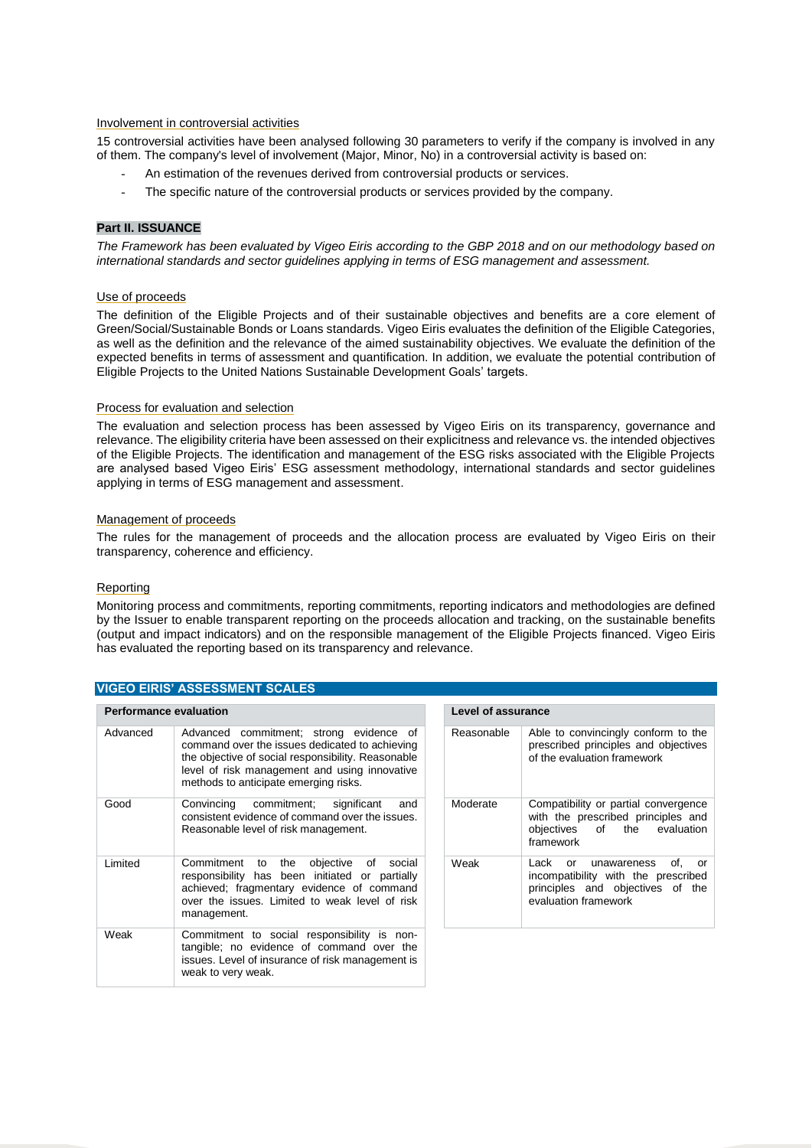# Involvement in controversial activities

15 controversial activities have been analysed following 30 parameters to verify if the company is involved in any of them. The company's level of involvement (Major, Minor, No) in a controversial activity is based on:

- An estimation of the revenues derived from controversial products or services.
- The specific nature of the controversial products or services provided by the company.

# **Part II. ISSUANCE**

*The Framework has been evaluated by Vigeo Eiris according to the GBP 2018 and on our methodology based on international standards and sector guidelines applying in terms of ESG management and assessment.*

## Use of proceeds

The definition of the Eligible Projects and of their sustainable objectives and benefits are a core element of Green/Social/Sustainable Bonds or Loans standards. Vigeo Eiris evaluates the definition of the Eligible Categories, as well as the definition and the relevance of the aimed sustainability objectives. We evaluate the definition of the expected benefits in terms of assessment and quantification. In addition, we evaluate the potential contribution of Eligible Projects to the United Nations Sustainable Development Goals' targets.

#### Process for evaluation and selection

The evaluation and selection process has been assessed by Vigeo Eiris on its transparency, governance and relevance. The eligibility criteria have been assessed on their explicitness and relevance vs. the intended objectives of the Eligible Projects. The identification and management of the ESG risks associated with the Eligible Projects are analysed based Vigeo Eiris' ESG assessment methodology, international standards and sector guidelines applying in terms of ESG management and assessment.

#### Management of proceeds

The rules for the management of proceeds and the allocation process are evaluated by Vigeo Eiris on their transparency, coherence and efficiency.

#### Reporting

Monitoring process and commitments, reporting commitments, reporting indicators and methodologies are defined by the Issuer to enable transparent reporting on the proceeds allocation and tracking, on the sustainable benefits (output and impact indicators) and on the responsible management of the Eligible Projects financed. Vigeo Eiris has evaluated the reporting based on its transparency and relevance.

# **VIGEO EIRIS' ASSESSMENT SCALES**

| <b>Performance evaluation</b> |          |                                                                                                                                                                                                                                           |  | <b>Level of assurance</b> |                              |
|-------------------------------|----------|-------------------------------------------------------------------------------------------------------------------------------------------------------------------------------------------------------------------------------------------|--|---------------------------|------------------------------|
|                               | Advanced | Advanced commitment; strong evidence of<br>command over the issues dedicated to achieving<br>the objective of social responsibility. Reasonable<br>level of risk management and using innovative<br>methods to anticipate emerging risks. |  | Reasonable                | Able<br>pres<br>of th        |
|                               | Good     | Convincing commitment;<br>significant<br>and<br>consistent evidence of command over the issues.<br>Reasonable level of risk management.                                                                                                   |  | Moderate                  | Con<br>with<br>obje<br>fram  |
|                               | Limited  | Commitment<br>objective of<br>the<br>social<br>to<br>responsibility has been initiated or partially<br>achieved; fragmentary evidence of command<br>over the issues. Limited to weak level of risk<br>management.                         |  | Weak                      | Lacl<br>inco<br>prin<br>eval |
|                               | Weak     | Commitment to social responsibility is non-<br>tangible; no evidence of command over the<br>issues. Level of insurance of risk management is<br>weak to very weak.                                                                        |  |                           |                              |

|            | Level of assurance                                                                                                                  |  |  |
|------------|-------------------------------------------------------------------------------------------------------------------------------------|--|--|
| Reasonable | Able to convincingly conform to the<br>prescribed principles and objectives<br>of the evaluation framework                          |  |  |
| Moderate   | Compatibility or partial convergence<br>with the prescribed principles and<br>objectives of the evaluation<br>framework             |  |  |
| Weak       | Lack or unawareness<br>of.<br>or<br>incompatibility with the prescribed<br>principles and objectives of the<br>evaluation framework |  |  |